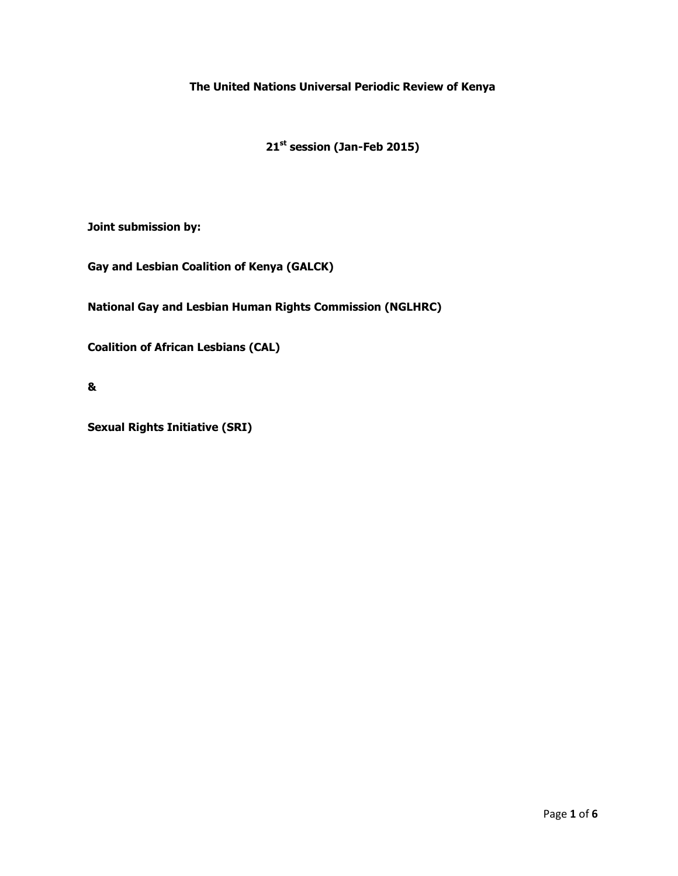**The United Nations Universal Periodic Review of Kenya** 

**21st session (Jan-Feb 2015)**

**Joint submission by:**

**Gay and Lesbian Coalition of Kenya (GALCK)**

**National Gay and Lesbian Human Rights Commission (NGLHRC)**

**Coalition of African Lesbians (CAL)**

**&**

**Sexual Rights Initiative (SRI)**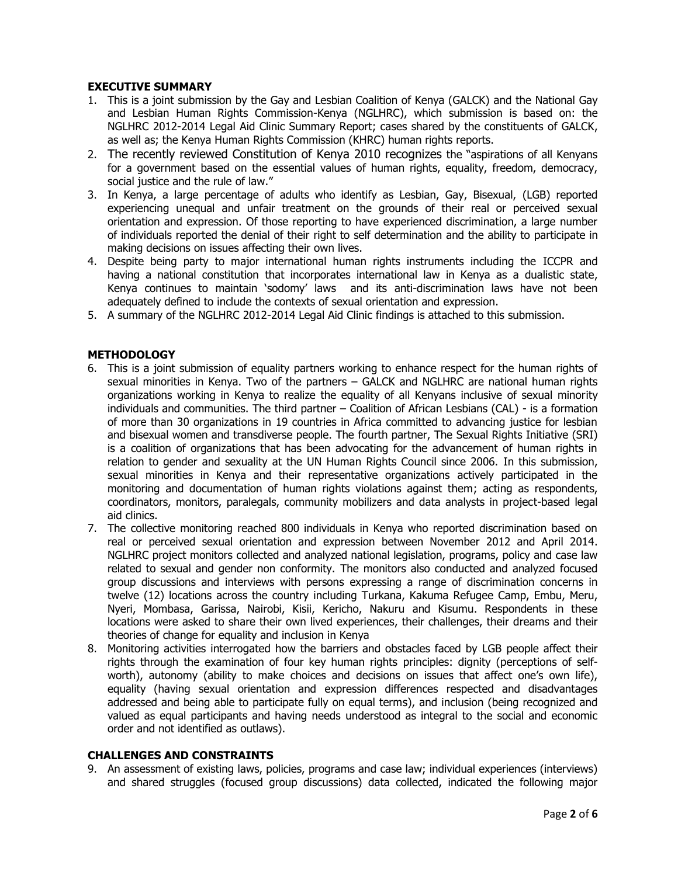# **EXECUTIVE SUMMARY**

- 1. This is a joint submission by the Gay and Lesbian Coalition of Kenya (GALCK) and the National Gay and Lesbian Human Rights Commission-Kenya (NGLHRC), which submission is based on: the NGLHRC 2012-2014 Legal Aid Clinic Summary Report; cases shared by the constituents of GALCK, as well as; the Kenya Human Rights Commission (KHRC) human rights reports.
- 2. The recently reviewed Constitution of Kenya 2010 recognizes the "aspirations of all Kenyans for a government based on the essential values of human rights, equality, freedom, democracy, social justice and the rule of law."
- 3. In Kenya, a large percentage of adults who identify as Lesbian, Gay, Bisexual, (LGB) reported experiencing unequal and unfair treatment on the grounds of their real or perceived sexual orientation and expression. Of those reporting to have experienced discrimination, a large number of individuals reported the denial of their right to self determination and the ability to participate in making decisions on issues affecting their own lives.
- 4. Despite being party to major international human rights instruments including the ICCPR and having a national constitution that incorporates international law in Kenya as a dualistic state, Kenya continues to maintain 'sodomy' laws and its anti-discrimination laws have not been adequately defined to include the contexts of sexual orientation and expression.
- 5. A summary of the NGLHRC 2012-2014 Legal Aid Clinic findings is attached to this submission.

# **METHODOLOGY**

- 6. This is a joint submission of equality partners working to enhance respect for the human rights of sexual minorities in Kenya. Two of the partners – GALCK and NGLHRC are national human rights organizations working in Kenya to realize the equality of all Kenyans inclusive of sexual minority individuals and communities. The third partner – Coalition of African Lesbians (CAL) - is a formation of more than 30 organizations in 19 countries in Africa committed to advancing justice for lesbian and bisexual women and transdiverse people. The fourth partner, The Sexual Rights Initiative (SRI) is a coalition of organizations that has been advocating for the advancement of human rights in relation to gender and sexuality at the UN Human Rights Council since 2006. In this submission, sexual minorities in Kenya and their representative organizations actively participated in the monitoring and documentation of human rights violations against them; acting as respondents, coordinators, monitors, paralegals, community mobilizers and data analysts in project-based legal aid clinics.
- 7. The collective monitoring reached 800 individuals in Kenya who reported discrimination based on real or perceived sexual orientation and expression between November 2012 and April 2014. NGLHRC project monitors collected and analyzed national legislation, programs, policy and case law related to sexual and gender non conformity. The monitors also conducted and analyzed focused group discussions and interviews with persons expressing a range of discrimination concerns in twelve (12) locations across the country including Turkana, Kakuma Refugee Camp, Embu, Meru, Nyeri, Mombasa, Garissa, Nairobi, Kisii, Kericho, Nakuru and Kisumu. Respondents in these locations were asked to share their own lived experiences, their challenges, their dreams and their theories of change for equality and inclusion in Kenya
- 8. Monitoring activities interrogated how the barriers and obstacles faced by LGB people affect their rights through the examination of four key human rights principles: dignity (perceptions of selfworth), autonomy (ability to make choices and decisions on issues that affect one's own life), equality (having sexual orientation and expression differences respected and disadvantages addressed and being able to participate fully on equal terms), and inclusion (being recognized and valued as equal participants and having needs understood as integral to the social and economic order and not identified as outlaws).

### **CHALLENGES AND CONSTRAINTS**

9. An assessment of existing laws, policies, programs and case law; individual experiences (interviews) and shared struggles (focused group discussions) data collected, indicated the following major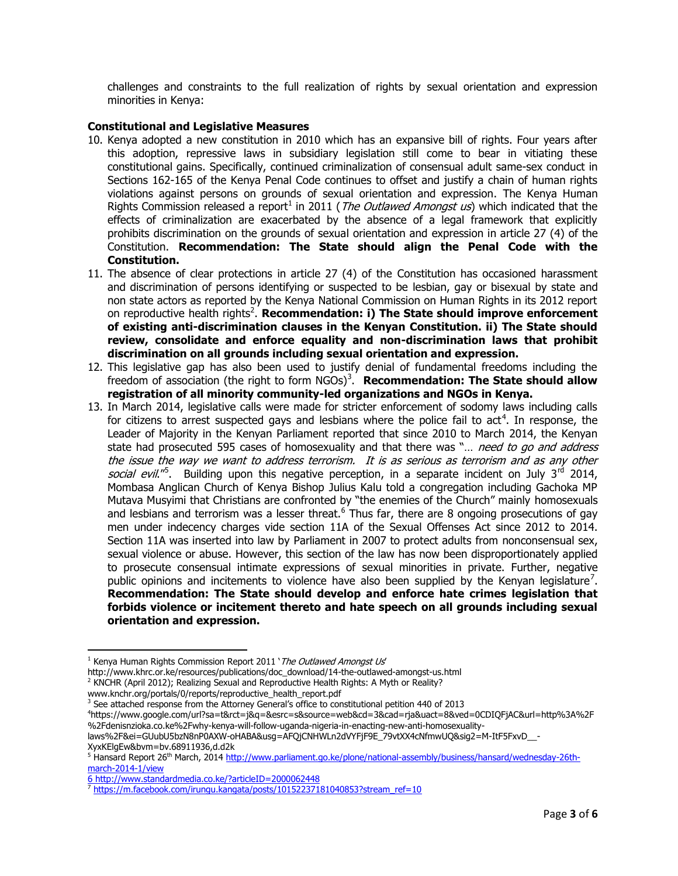challenges and constraints to the full realization of rights by sexual orientation and expression minorities in Kenya:

## **Constitutional and Legislative Measures**

- 10. Kenya adopted a new constitution in 2010 which has an expansive bill of rights. Four years after this adoption, repressive laws in subsidiary legislation still come to bear in vitiating these constitutional gains. Specifically, continued criminalization of consensual adult same-sex conduct in Sections 162-165 of the Kenya Penal Code continues to offset and justify a chain of human rights violations against persons on grounds of sexual orientation and expression. The Kenya Human Rights Commission released a report<sup>1</sup> in 2011 (*The Outlawed Amongst us*) which indicated that the effects of criminalization are exacerbated by the absence of a legal framework that explicitly prohibits discrimination on the grounds of sexual orientation and expression in article 27 (4) of the Constitution. **Recommendation: The State should align the Penal Code with the Constitution.**
- 11. The absence of clear protections in article 27 (4) of the Constitution has occasioned harassment and discrimination of persons identifying or suspected to be lesbian, gay or bisexual by state and non state actors as reported by the Kenya National Commission on Human Rights in its 2012 report on reproductive health rights<sup>2</sup>. Recommendation: i) The State should improve enforcement **of existing anti-discrimination clauses in the Kenyan Constitution. ii) The State should review, consolidate and enforce equality and non-discrimination laws that prohibit discrimination on all grounds including sexual orientation and expression.**
- 12. This legislative gap has also been used to justify denial of fundamental freedoms including the freedom of association (the right to form NGOs)<sup>3</sup>. **Recommendation: The State should allow registration of all minority community-led organizations and NGOs in Kenya.**
- 13. In March 2014, legislative calls were made for stricter enforcement of sodomy laws including calls for citizens to arrest suspected gays and lesbians where the police fail to act<sup>4</sup>. In response, the Leader of Majority in the Kenyan Parliament reported that since 2010 to March 2014, the Kenyan state had prosecuted 595 cases of homosexuality and that there was "... need to go and address the issue the way we want to address terrorism. It is as serious as terrorism and as any other social evil."<sup>5</sup>. Building upon this negative perception, in a separate incident on July 3<sup>rd</sup> 2014, Mombasa Anglican Church of Kenya Bishop Julius Kalu told a congregation including Gachoka MP Mutava Musyimi that Christians are confronted by "the enemies of the Church" mainly homosexuals and lesbians and terrorism was a lesser threat.<sup>6</sup> Thus far, there are 8 ongoing prosecutions of gay men under indecency charges vide section 11A of the Sexual Offenses Act since 2012 to 2014. Section 11A was inserted into law by Parliament in 2007 to protect adults from nonconsensual sex, sexual violence or abuse. However, this section of the law has now been disproportionately applied to prosecute consensual intimate expressions of sexual minorities in private. Further, negative public opinions and incitements to violence have also been supplied by the Kenyan legislature<sup>7</sup>. **Recommendation: The State should develop and enforce hate crimes legislation that forbids violence or incitement thereto and hate speech on all grounds including sexual orientation and expression.**

http://www.khrc.or.ke/resources/publications/doc\_download/14-the-outlawed-amongst-us.html

 $\overline{\phantom{a}}$  $1$  Kenya Human Rights Commission Report 2011 '*The Outlawed Amongst Us'* 

<sup>&</sup>lt;sup>2</sup> KNCHR (April 2012); Realizing Sexual and Reproductive Health Rights: A Myth or Reality?

www.knchr.org/portals/0/reports/reproductive\_health\_report.pdf

 $3$  See attached response from the Attorney General's office to constitutional petition 440 of 2013

<sup>4</sup> https://www.google.com/url?sa=t&rct=j&q=&esrc=s&source=web&cd=3&cad=rja&uact=8&ved=0CDIQFjAC&url=http%3A%2F %2Fdenisnzioka.co.ke%2Fwhy-kenya-will-follow-uganda-nigeria-in-enacting-new-anti-homosexuality-

laws%2F&ei=GUubU5bzN8nP0AXW-oHABA&usg=AFQjCNHWLn2dVYFjF9E\_79vtXX4cNfmwUQ&sig2=M-ItF5FxvD\_\_- XyxKElgEw&bvm=bv.68911936,d.d2k

<sup>&</sup>lt;sup>5</sup> Hansard Report 26<sup>th</sup> March, 2014 [http://www.parliament.go.ke/plone/national-assembly/business/hansard/wednesday-26th](http://www.google.com/url?q=http%3A%2F%2Fwww.parliament.go.ke%2Fplone%2Fnational-assembly%2Fbusiness%2Fhansard%2Fwednesday-26th-march-2014-1%2Fview&sa=D&sntz=1&usg=AFQjCNFotLPqhHHedRXClqw2VpOPwI59UA)[march-2014-1/view](http://www.google.com/url?q=http%3A%2F%2Fwww.parliament.go.ke%2Fplone%2Fnational-assembly%2Fbusiness%2Fhansard%2Fwednesday-26th-march-2014-1%2Fview&sa=D&sntz=1&usg=AFQjCNFotLPqhHHedRXClqw2VpOPwI59UA)

<sup>6</sup> <http://www.standardmedia.co.ke/?articleID=2000062448>

<sup>7</sup> [https://m.facebook.com/irungu.kangata/posts/10152237181040853?stream\\_ref=10](https://www.google.com/url?q=https%3A%2F%2Fm.facebook.com%2Firungu.kangata%2Fposts%2F10152237181040853%3Fstream_ref%3D10&sa=D&sntz=1&usg=AFQjCNFMb6M38CQUY8HTeMVD3micfHTxrg)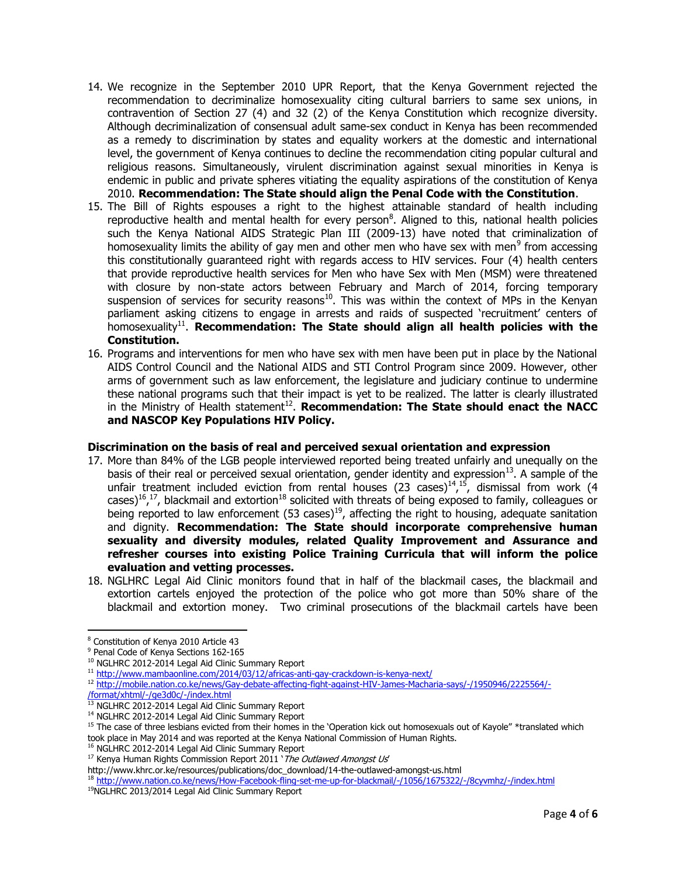- 14. We recognize in the September 2010 UPR Report, that the Kenya Government rejected the recommendation to decriminalize homosexuality citing cultural barriers to same sex unions, in contravention of Section 27 (4) and 32 (2) of the Kenya Constitution which recognize diversity. Although decriminalization of consensual adult same-sex conduct in Kenya has been recommended as a remedy to discrimination by states and equality workers at the domestic and international level, the government of Kenya continues to decline the recommendation citing popular cultural and religious reasons. Simultaneously, virulent discrimination against sexual minorities in Kenya is endemic in public and private spheres vitiating the equality aspirations of the constitution of Kenya 2010. **Recommendation: The State should align the Penal Code with the Constitution**.
- 15. The Bill of Rights espouses a right to the highest attainable standard of health including reproductive health and mental health for every person<sup>8</sup>. Aligned to this, national health policies such the Kenya National AIDS Strategic Plan III (2009-13) have noted that criminalization of homosexuality limits the ability of gay men and other men who have sex with men<sup>9</sup> from accessing this constitutionally guaranteed right with regards access to HIV services. Four (4) health centers that provide reproductive health services for Men who have Sex with Men (MSM) were threatened with closure by non-state actors between February and March of 2014, forcing temporary suspension of services for security reasons<sup>10</sup>. This was within the context of MPs in the Kenyan parliament asking citizens to engage in arrests and raids of suspected 'recruitment' centers of homosexuality<sup>11</sup>. **Recommendation: The State should align all health policies with the Constitution.**
- 16. Programs and interventions for men who have sex with men have been put in place by the National AIDS Control Council and the National AIDS and STI Control Program since 2009. However, other arms of government such as law enforcement, the legislature and judiciary continue to undermine these national programs such that their impact is yet to be realized. The latter is clearly illustrated in the Ministry of Health statement<sup>12</sup>. **Recommendation: The State should enact the NACC and NASCOP Key Populations HIV Policy.**

#### **Discrimination on the basis of real and perceived sexual orientation and expression**

- 17. More than 84% of the LGB people interviewed reported being treated unfairly and unequally on the basis of their real or perceived sexual orientation, gender identity and expression $^{13}$ . A sample of the unfair treatment included eviction from rental houses (23 cases)<sup>14</sup>,<sup>15</sup>, dismissal from work (4 cases)<sup>16</sup>,<sup>17</sup>, blackmail and extortion<sup>18</sup> solicited with threats of being exposed to family, colleagues or being reported to law enforcement (53 cases)<sup>19</sup>, affecting the right to housing, adequate sanitation and dignity. **Recommendation: The State should incorporate comprehensive human sexuality and diversity modules, related Quality Improvement and Assurance and refresher courses into existing Police Training Curricula that will inform the police evaluation and vetting processes.**
- 18. NGLHRC Legal Aid Clinic monitors found that in half of the blackmail cases, the blackmail and extortion cartels enjoyed the protection of the police who got more than 50% share of the blackmail and extortion money. Two criminal prosecutions of the blackmail cartels have been

 $\overline{\phantom{a}}$ 

[/format/xhtml/-/ge3d0c/-/index.html](http://www.google.com/url?q=http%3A%2F%2Fmobile.nation.co.ke%2Fnews%2FGay-debate-affecting-fight-against-HIV-James-Macharia-says%2F-%2F1950946%2F2225564%2F-%2Fformat%2Fxhtml%2F-%2Fge3d0c%2F-%2Findex.html&sa=D&sntz=1&usg=AFQjCNH1Ig8JKxdmX_XEJTDgvoQ-e9SvqQ)

http://www.khrc.or.ke/resources/publications/doc\_download/14-the-outlawed-amongst-us.html

<sup>18</sup> [http://www.nation.co.ke/news/How-Facebook-fling-set-me-up-for-blackmail/-/1056/1675322/-/8cyvmhz/-/index.html](http://www.google.com/url?q=http%3A%2F%2Fwww.nation.co.ke%2Fnews%2FHow-Facebook-fling-set-me-up-for-blackmail%2F-%2F1056%2F1675322%2F-%2F8cyvmhz%2F-%2Findex.html&sa=D&sntz=1&usg=AFQjCNE_TsjfbQEcz_RFdMdxx781iyR6jw)

<sup>8</sup> Constitution of Kenya 2010 Article 43

<sup>&</sup>lt;sup>9</sup> Penal Code of Kenya Sections 162-165

<sup>&</sup>lt;sup>10</sup> NGLHRC 2012-2014 Legal Aid Clinic Summary Report

<sup>11</sup> [http://www.mambaonline.com/2014/03/12/africas-anti-gay-crackdown-is-kenya-next/](http://www.google.com/url?q=http%3A%2F%2Fwww.mambaonline.com%2F2014%2F03%2F12%2Fafricas-anti-gay-crackdown-is-kenya-next%2F&sa=D&sntz=1&usg=AFQjCNHzUDxU3S4rPkgYKfoqA4mhByREIQ)

<sup>12</sup> [http://mobile.nation.co.ke/news/Gay-debate-affecting-fight-against-HIV-James-Macharia-says/-/1950946/2225564/-](http://www.google.com/url?q=http%3A%2F%2Fmobile.nation.co.ke%2Fnews%2FGay-debate-affecting-fight-against-HIV-James-Macharia-says%2F-%2F1950946%2F2225564%2F-%2Fformat%2Fxhtml%2F-%2Fge3d0c%2F-%2Findex.html&sa=D&sntz=1&usg=AFQjCNH1Ig8JKxdmX_XEJTDgvoQ-e9SvqQ)

<sup>13</sup> NGLHRC 2012-2014 Legal Aid Clinic Summary Report

<sup>&</sup>lt;sup>14</sup> NGLHRC 2012-2014 Legal Aid Clinic Summary Report

<sup>&</sup>lt;sup>15</sup> The case of three lesbians evicted from their homes in the 'Operation kick out homosexuals out of Kayole" \*translated which took place in May 2014 and was reported at the Kenya National Commission of Human Rights.

<sup>&</sup>lt;sup>16</sup> NGLHRC 2012-2014 Legal Aid Clinic Summary Report

 $17$  Kenya Human Rights Commission Report 2011 ' The Outlawed Amongst Us

<sup>&</sup>lt;sup>19</sup>NGLHRC 2013/2014 Legal Aid Clinic Summary Report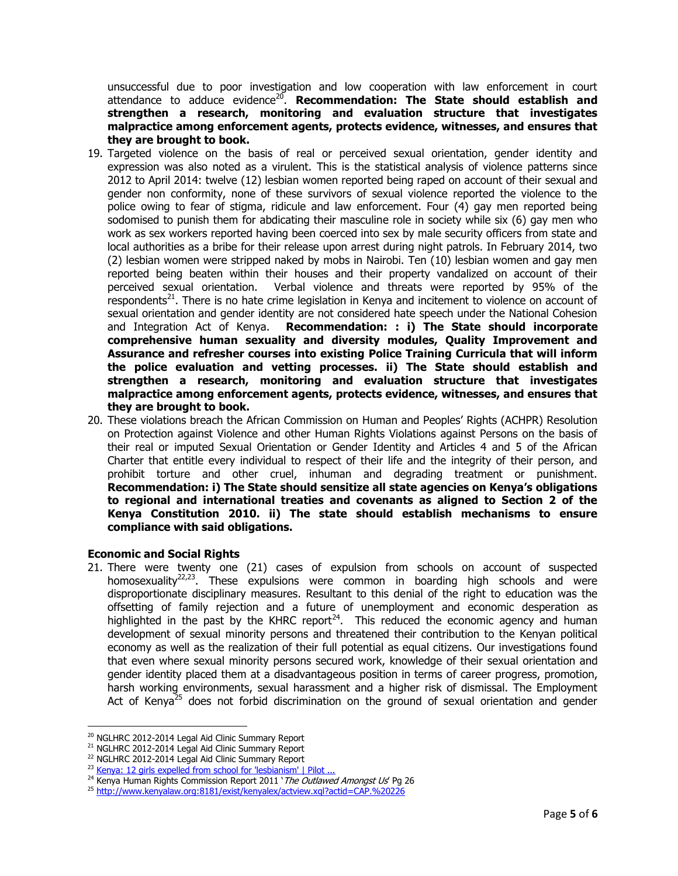unsuccessful due to poor investigation and low cooperation with law enforcement in court attendance to adduce evidence<sup>20</sup>. **Recommendation: The State should establish and strengthen a research, monitoring and evaluation structure that investigates malpractice among enforcement agents, protects evidence, witnesses, and ensures that they are brought to book.**

- 19. Targeted violence on the basis of real or perceived sexual orientation, gender identity and expression was also noted as a virulent. This is the statistical analysis of violence patterns since 2012 to April 2014: twelve (12) lesbian women reported being raped on account of their sexual and gender non conformity, none of these survivors of sexual violence reported the violence to the police owing to fear of stigma, ridicule and law enforcement. Four (4) gay men reported being sodomised to punish them for abdicating their masculine role in society while six (6) gay men who work as sex workers reported having been coerced into sex by male security officers from state and local authorities as a bribe for their release upon arrest during night patrols. In February 2014, two (2) lesbian women were stripped naked by mobs in Nairobi. Ten (10) lesbian women and gay men reported being beaten within their houses and their property vandalized on account of their perceived sexual orientation. Verbal violence and threats were reported by 95% of the respondents<sup>21</sup>. There is no hate crime legislation in Kenya and incitement to violence on account of sexual orientation and gender identity are not considered hate speech under the National Cohesion and Integration Act of Kenya. **Recommendation: : i) The State should incorporate comprehensive human sexuality and diversity modules, Quality Improvement and Assurance and refresher courses into existing Police Training Curricula that will inform the police evaluation and vetting processes. ii) The State should establish and strengthen a research, monitoring and evaluation structure that investigates malpractice among enforcement agents, protects evidence, witnesses, and ensures that they are brought to book.**
- 20. These violations breach the African Commission on Human and Peoples' Rights (ACHPR) Resolution on Protection against Violence and other Human Rights Violations against Persons on the basis of their real or imputed Sexual Orientation or Gender Identity and Articles 4 and 5 of the African Charter that entitle every individual to respect of their life and the integrity of their person, and prohibit torture and other cruel, inhuman and degrading treatment or punishment. **Recommendation: i) The State should sensitize all state agencies on Kenya's obligations to regional and international treaties and covenants as aligned to Section 2 of the Kenya Constitution 2010. ii) The state should establish mechanisms to ensure compliance with said obligations.**

# **Economic and Social Rights**

21. There were twenty one (21) cases of expulsion from schools on account of suspected homosexuality<sup>22,23</sup>. These expulsions were common in boarding high schools and were disproportionate disciplinary measures. Resultant to this denial of the right to education was the offsetting of family rejection and a future of unemployment and economic desperation as highlighted in the past by the KHRC report<sup>24</sup>. This reduced the economic agency and human development of sexual minority persons and threatened their contribution to the Kenyan political economy as well as the realization of their full potential as equal citizens. Our investigations found that even where sexual minority persons secured work, knowledge of their sexual orientation and gender identity placed them at a disadvantageous position in terms of career progress, promotion, harsh working environments, sexual harassment and a higher risk of dismissal. The Employment Act of Kenya<sup>25</sup> does not forbid discrimination on the ground of sexual orientation and gender

 $\overline{\phantom{a}}$ <sup>20</sup> NGLHRC 2012-2014 Legal Aid Clinic Summary Report

<sup>&</sup>lt;sup>21</sup> NGLHRC 2012-2014 Legal Aid Clinic Summary Report

<sup>&</sup>lt;sup>22</sup> NGLHRC 2012-2014 Legal Aid Clinic Summary Report

<sup>&</sup>lt;sup>23</sup> Kenya: 12 girls expelled from school [for 'lesbianism' | Pilot](http://www.pilotafrica.com/2012/02/09/kenya-12-girls-expelled-from-school-for-lesbianism/) ...

<sup>&</sup>lt;sup>24</sup> Kenya Human Rights Commission Report 2011 ' The Outlawed Amongst Us' Pg 26

<sup>25</sup> [http://www.kenyalaw.org:8181/exist/kenyalex/actview.xql?actid=CAP.%20226](http://www.google.com/url?q=http%3A%2F%2Fwww.kenyalaw.org%3A8181%2Fexist%2Fkenyalex%2Factview.xql%3Factid%3DCAP.%2520226&sa=D&sntz=1&usg=AFQjCNGgqLLJps4zIdt1NS4v6Z2gwKBpcw)